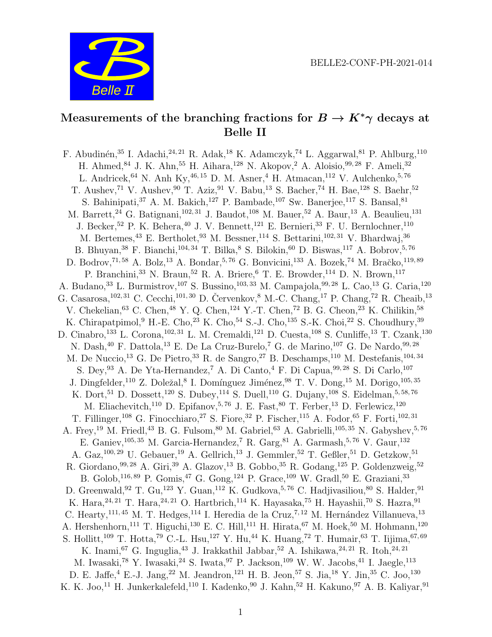

# Measurements of the branching fractions for  $B \to K^*\gamma$  decays at Belle II

F. Abudinén,<sup>35</sup> I. Adachi,<sup>24, 21</sup> R. Adak,<sup>18</sup> K. Adamczyk,<sup>74</sup> L. Aggarwal,<sup>81</sup> P. Ahlburg,<sup>110</sup> H. Ahmed,  $84$  J. K. Ahn,  $55$  H. Aihara,  $128$  N. Akopov,  $2$  A. Aloisio,  $99,28$  F. Ameli,  $32$ L. Andricek,  $^{64}$  N. Anh Ky,  $^{46,\,15}$  D. M. Asner,  $^4$  H. Atmacan,  $^{112}$  V. Aulchenko,  $^{5,\,76}$ T. Aushev,<sup>71</sup> V. Aushev,<sup>90</sup> T. Aziz,<sup>91</sup> V. Babu,<sup>13</sup> S. Bacher,<sup>74</sup> H. Bae,<sup>128</sup> S. Baehr,<sup>52</sup> S. Bahinipati,<sup>37</sup> A. M. Bakich,<sup>127</sup> P. Bambade,<sup>107</sup> Sw. Banerjee,<sup>117</sup> S. Bansal,<sup>81</sup> M. Barrett,<sup>24</sup> G. Batignani,<sup>102, 31</sup> J. Baudot,<sup>108</sup> M. Bauer,<sup>52</sup> A. Baur,<sup>13</sup> A. Beaulieu,<sup>131</sup> J. Becker, <sup>52</sup> P. K. Behera, <sup>40</sup> J. V. Bennett, <sup>121</sup> E. Bernieri, <sup>33</sup> F. U. Bernlochner, <sup>110</sup> M. Bertemes, <sup>43</sup> E. Bertholet, <sup>93</sup> M. Bessner, <sup>114</sup> S. Bettarini, <sup>102, 31</sup> V. Bhardwai, <sup>36</sup> B. Bhuyan,  $^{38}$  F. Bianchi,  $^{104,\,34}$  T. Bilka,  $^8$  S. Bilokin,  $^{60}$  D. Biswas,  $^{117}$  A. Bobrov,  $^{5,\,76}$ D. Bodrov,  $^{71,58}$  A. Bolz,  $^{13}$  A. Bondar,  $^{5,76}$  G. Bonvicini,  $^{133}$  A. Bozek,  $^{74}$  M. Bračko,  $^{119,89}$ P. Branchini,<sup>33</sup> N. Braun,<sup>52</sup> R. A. Briere,<sup>6</sup> T. E. Browder,<sup>114</sup> D. N. Brown,<sup>117</sup> A. Budano, <sup>33</sup> L. Burmistrov, <sup>107</sup> S. Bussino, <sup>103, 33</sup> M. Campajola, <sup>99, 28</sup> L. Cao, <sup>13</sup> G. Caria, <sup>120</sup> G. Casarosa,  $^{102, 31}$  C. Cecchi,  $^{101, 30}$  D. Červenkov, <sup>8</sup> M.-C. Chang, <sup>17</sup> P. Chang, <sup>72</sup> R. Cheaib, <sup>13</sup> V. Chekelian,  $^{63}$  C. Chen,  $^{48}$  Y. Q. Chen,  $^{124}$  Y.-T. Chen,  $^{72}$  B. G. Cheon,  $^{23}$  K. Chilikin,  $^{58}$ K. Chirapatpimol, <sup>9</sup> H.-E. Cho, <sup>23</sup> K. Cho, <sup>54</sup> S.-J. Cho, <sup>135</sup> S.-K. Choi, <sup>22</sup> S. Choudhury, <sup>39</sup> D. Cinabro,<sup>133</sup> L. Corona,<sup>102, 31</sup> L. M. Cremaldi,<sup>121</sup> D. Cuesta,<sup>108</sup> S. Cunliffe,<sup>13</sup> T. Czank,<sup>130</sup> N. Dash,  $40$  F. Dattola,  $13$  E. De La Cruz-Burelo, <sup>7</sup> G. de Marino,  $107$  G. De Nardo,  $99,28$ M. De Nuccio,<sup>13</sup> G. De Pietro,<sup>33</sup> R. de Sangro,<sup>27</sup> B. Deschamps,<sup>110</sup> M. Destefanis,<sup>104,34</sup> S. Dey, <sup>93</sup> A. De Yta-Hernandez,<sup>7</sup> A. Di Canto, <sup>4</sup> F. Di Capua, <sup>99, 28</sup> S. Di Carlo, <sup>107</sup> J. Dingfelder,<sup>110</sup> Z. Doležal,<sup>8</sup> I. Domínguez Jiménez,<sup>98</sup> T. V. Dong,<sup>15</sup> M. Dorigo,<sup>105,35</sup> K. Dort,<sup>51</sup> D. Dossett,<sup>120</sup> S. Dubey,<sup>114</sup> S. Duell,<sup>110</sup> G. Dujany,<sup>108</sup> S. Eidelman,<sup>5,58,76</sup> M. Eliachevitch,<sup>110</sup> D. Epifanov,<sup>5,76</sup> J. E. Fast,<sup>80</sup> T. Ferber,<sup>13</sup> D. Ferlewicz,<sup>120</sup> T. Fillinger,<sup>108</sup> G. Finocchiaro,<sup>27</sup> S. Fiore,<sup>32</sup> P. Fischer,<sup>115</sup> A. Fodor,<sup>65</sup> F. Forti,<sup>102,31</sup> A. Frey,<sup>19</sup> M. Friedl,<sup>43</sup> B. G. Fulsom,<sup>80</sup> M. Gabriel,<sup>63</sup> A. Gabrielli,<sup>105, 35</sup> N. Gabyshev,<sup>5,76</sup> E. Ganiev,  $^{105,\,35}$  M. Garcia-Hernandez,  $^7$  R. Garg,  $^{81}$  A. Garmash,  $^{5,\,76}$  V. Gaur,  $^{132}$ A. Gaz,  $^{100, 29}$  U. Gebauer,  $^{19}$  A. Gellrich,  $^{13}$  J. Gemmler,  $^{52}$  T. Geßler,  $^{51}$  D. Getzkow,  $^{51}$ R. Giordano,  $99,28$  A. Giri,  $39$  A. Glazov,  $^{13}$  B. Gobbo,  $^{35}$  R. Godang,  $^{125}$  P. Goldenzweig,  $^{52}$ B. Golob,  $^{116, 89}$  P. Gomis,  $^{47}$  G. Gong,  $^{124}$  P. Grace,  $^{109}$  W. Gradl,  $^{50}$  E. Graziani,  $^{33}$ D. Greenwald, <sup>92</sup> T. Gu, <sup>123</sup> Y. Guan, <sup>112</sup> K. Gudkova, <sup>5, 76</sup> C. Hadjivasiliou, <sup>80</sup> S. Halder, <sup>91</sup> K. Hara,  $24, 21$  T. Hara,  $24, 21$  O. Hartbrich,  $114$  K. Hayasaka,  $75$  H. Hayashii,  $70$  S. Hazra,  $91$ C. Hearty,<sup>111, 45</sup> M. T. Hedges,<sup>114</sup> I. Heredia de la Cruz,<sup>7, 12</sup> M. Hernández Villanueva,<sup>13</sup> A. Hershenhorn,<sup>111</sup> T. Higuchi,<sup>130</sup> E. C. Hill,<sup>111</sup> H. Hirata,<sup>67</sup> M. Hoek,<sup>50</sup> M. Hohmann,<sup>120</sup> S. Hollitt,<sup>109</sup> T. Hotta,<sup>79</sup> C.-L. Hsu,<sup>127</sup> Y. Hu,<sup>44</sup> K. Huang,<sup>72</sup> T. Humair,<sup>63</sup> T. Iijima,<sup>67,69</sup> K. Inami, <sup>67</sup> G. Inguglia, <sup>43</sup> J. Irakkathil Jabbar, <sup>52</sup> A. Ishikawa, <sup>24, 21</sup> R. Itoh, <sup>24, 21</sup> M. Iwasaki,  $78$  Y. Iwasaki,  $24$  S. Iwata,  $97$  P. Jackson,  $^{109}$  W. W. Jacobs,  $^{41}$  I. Jaegle,  $^{113}$ D. E. Jaffe, <sup>4</sup> E.-J. Jang, <sup>22</sup> M. Jeandron, <sup>121</sup> H. B. Jeon, <sup>57</sup> S. Jia, <sup>18</sup> Y. Jin, <sup>35</sup> C. Joo, <sup>130</sup> K. K. Joo,<sup>11</sup> H. Junkerkalefeld,<sup>110</sup> I. Kadenko,<sup>90</sup> J. Kahn,<sup>52</sup> H. Kakuno,<sup>97</sup> A. B. Kaliyar,<sup>91</sup>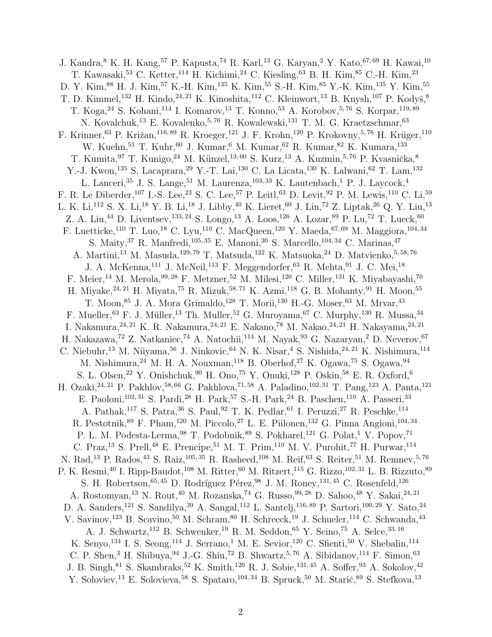J. Kandra, <sup>8</sup> K. H. Kang, <sup>57</sup> P. Kapusta, <sup>74</sup> R. Karl, <sup>13</sup> G. Karyan, <sup>2</sup> Y. Kato, <sup>67, 69</sup> H. Kawai, <sup>10</sup> T. Kawasaki,  $53$  C. Ketter,  $114$  H. Kichimi,  $24$  C. Kiesling,  $63$  B. H. Kim,  $85$  C.-H. Kim,  $23$ D. Y. Kim,<sup>88</sup> H. J. Kim,<sup>57</sup> K.-H. Kim,<sup>135</sup> K. Kim,<sup>55</sup> S.-H. Kim,<sup>85</sup> Y.-K. Kim,<sup>135</sup> Y. Kim,<sup>55</sup> T. D. Kimmel,<sup>132</sup> H. Kindo,<sup>24, 21</sup> K. Kinoshita,<sup>112</sup> C. Kleinwort,<sup>13</sup> B. Knysh,<sup>107</sup> P. Kodyš,<sup>8</sup> T. Koga,<sup>24</sup> S. Kohani,<sup>114</sup> I. Komarov,<sup>13</sup> T. Konno,<sup>53</sup> A. Korobov,<sup>5,76</sup> S. Korpar,<sup>119,89</sup> N. Kovalchuk,<sup>13</sup> E. Kovalenko,<sup>5,76</sup> R. Kowalewski,<sup>131</sup> T. M. G. Kraetzschmar,<sup>63</sup> F. Krinner,<sup>63</sup> P. Križan,<sup>116,89</sup> R. Kroeger,<sup>121</sup> J. F. Krohn,<sup>120</sup> P. Krokovny,<sup>5,76</sup> H. Krüger,<sup>110</sup> W. Kuehn, <sup>51</sup> T. Kuhr, <sup>60</sup> J. Kumar, <sup>6</sup> M. Kumar, <sup>62</sup> R. Kumar, <sup>82</sup> K. Kumara, <sup>133</sup> T. Kumita, <sup>97</sup> T. Kunigo, <sup>24</sup> M. Künzel, <sup>13, 60</sup> S. Kurz, <sup>13</sup> A. Kuzmin, <sup>5, 76</sup> P. Kvasnička, <sup>8</sup> Y.-J. Kwon,<sup>135</sup> S. Lacaprara,<sup>29</sup> Y.-T. Lai,<sup>130</sup> C. La Licata,<sup>130</sup> K. Lalwani,<sup>62</sup> T. Lam,<sup>132</sup> L. Lanceri, <sup>35</sup> J. S. Lange, <sup>51</sup> M. Laurenza, <sup>103, 33</sup> K. Lautenbach, <sup>1</sup> P. J. Laycock, <sup>4</sup> F. R. Le Diberder,<sup>107</sup> I.-S. Lee,<sup>23</sup> S. C. Lee,<sup>57</sup> P. Leitl,<sup>63</sup> D. Levit,<sup>92</sup> P. M. Lewis,<sup>110</sup> C. Li,<sup>59</sup> L. K. Li,<sup>112</sup> S. X. Li,<sup>18</sup> Y. B. Li,<sup>18</sup> J. Libby,<sup>40</sup> K. Lieret,<sup>60</sup> J. Lin,<sup>72</sup> Z. Liptak,<sup>26</sup> Q. Y. Liu,<sup>13</sup> Z. A. Liu,<sup>44</sup> D. Liventsev,<sup>133, 24</sup> S. Longo,<sup>13</sup> A. Loos,<sup>126</sup> A. Lozar,<sup>89</sup> P. Lu,<sup>72</sup> T. Lueck,<sup>60</sup> F. Luetticke,<sup>110</sup> T. Luo,<sup>18</sup> C. Lyu,<sup>110</sup> C. MacQueen,<sup>120</sup> Y. Maeda,<sup>67,69</sup> M. Maggiora,<sup>104,34</sup> S. Maity, <sup>37</sup> R. Manfredi, <sup>105, 35</sup> E. Manoni, <sup>30</sup> S. Marcello, <sup>104, 34</sup> C. Marinas, <sup>47</sup> A. Martini, $^{13}$ M. Masuda, $^{129,\,79}$ T. Matsuda, $^{122}$ K. Matsuoka, $^{24}$ D. Matvienko, $^{5,\,58,\,76}$ J. A. McKenna,  $^{111}$  J. McNeil,  $^{113}$  F. Meggendorfer,  $^{63}$  R. Mehta,  $^{91}$  J. C. Mei,  $^{18}$ F. Meier,  $^{14}$  M. Merola,  $^{99,28}$  F. Metzner,  $^{52}$  M. Milesi,  $^{120}$  C. Miller,  $^{131}$  K. Miyabayashi,  $^{70}$ H. Miyake,  $24, 21$  H. Miyata,  $75$  R. Mizuk,  $58, 71$  K. Azmi,  $118$  G. B. Mohanty,  $91$  H. Moon,  $55$ T. Moon, <sup>85</sup> J. A. Mora Grimaldo, <sup>128</sup> T. Morii, <sup>130</sup> H.-G. Moser, <sup>63</sup> M. Mrvar, <sup>43</sup> F. Mueller, <sup>63</sup> F. J. Müller, <sup>13</sup> Th. Muller, <sup>52</sup> G. Muroyama, <sup>67</sup> C. Murphy, <sup>130</sup> R. Mussa, <sup>34</sup> I. Nakamura,  $^{24, 21}$  K. R. Nakamura,  $^{24, 21}$  E. Nakano,  $^{78}$  M. Nakao,  $^{24, 21}$  H. Nakayama,  $^{24, 21}$ H. Nakazawa, 72 Z. Natkaniec, 74 A. Natochii, 114 M. Nayak, 93 G. Nazaryan, 2 D. Neverov, 67 C. Niebuhr, <sup>13</sup> M. Niiyama, <sup>56</sup> J. Ninkovic, <sup>64</sup> N. K. Nisar, <sup>4</sup> S. Nishida, <sup>24, 21</sup> K. Nishimura, <sup>114</sup> M. Nishimura,  $^{24}$  M. H. A. Nouxman,  $^{118}$  B. Oberhof,  $^{27}$  K. Ogawa,  $^{75}$  S. Ogawa,  $^{94}$ S. L. Olsen, <sup>22</sup> Y. Onishchuk, <sup>90</sup> H. Ono, <sup>75</sup> Y. Onuki, <sup>128</sup> P. Oskin, <sup>58</sup> E. R. Oxford, <sup>6</sup> H. Ozaki, <sup>24, 21</sup> P. Pakhlov, <sup>58, 66</sup> G. Pakhlova, <sup>71, 58</sup> A. Paladino, <sup>102, 31</sup> T. Pang, <sup>123</sup> A. Panta, <sup>121</sup> E. Paoloni,<sup>102, 31</sup> S. Pardi,<sup>28</sup> H. Park,<sup>57</sup> S.-H. Park,<sup>24</sup> B. Paschen,<sup>110</sup> A. Passeri,<sup>33</sup> A. Pathak,<sup>117</sup> S. Patra,<sup>36</sup> S. Paul,<sup>92</sup> T. K. Pedlar,<sup>61</sup> I. Peruzzi,<sup>27</sup> R. Peschke,<sup>114</sup> R. Pestotnik,  $89$  F. Pham,  $^{120}$  M. Piccolo,  $^{27}$  L. E. Piilonen,  $^{132}$  G. Pinna Angioni,  $^{104, 34}$ P. L. M. Podesta-Lerma,  $98$  T. Podobnik,  $89$  S. Pokharel,  $121$  G. Polat,  $1$  V. Popov,  $71$ C. Praz,<sup>13</sup> S. Prell,<sup>48</sup> E. Prencipe,<sup>51</sup> M. T. Prim,<sup>110</sup> M. V. Purohit,<sup>77</sup> H. Purwar,<sup>114</sup> N. Rad,<sup>13</sup> P. Rados,<sup>43</sup> S. Raiz,<sup>105, 35</sup> R. Rasheed,<sup>108</sup> M. Reif,<sup>63</sup> S. Reiter,<sup>51</sup> M. Remnev,<sup>5,76</sup> P. K. Resmi,  $^{40}$  I. Ripp-Baudot,  $^{108}$  M. Ritter,  $^{60}$  M. Ritzert,  $^{115}$  G. Rizzo,  $^{102, 31}$  L. B. Rizzuto,  $^{89}$ S. H. Robertson, $^{65,\,45}$ D. Rodríguez Pérez, $^{98}$ J. M. Roney, $^{131,\,45}$ C. Rosenfeld, $^{126}$ A. Rostomyan, <sup>13</sup> N. Rout, <sup>40</sup> M. Rozanska, <sup>74</sup> G. Russo, <sup>99, 28</sup> D. Sahoo, <sup>48</sup> Y. Sakai, <sup>24, 21</sup> D. A. Sanders,<sup>121</sup> S. Sandilya,<sup>39</sup> A. Sangal,<sup>112</sup> L. Santelj,<sup>116,89</sup> P. Sartori,<sup>100,29</sup> Y. Sato,<sup>24</sup> V. Savinov,<sup>123</sup> B. Scavino,<sup>50</sup> M. Schram,<sup>80</sup> H. Schreeck,<sup>19</sup> J. Schueler,<sup>114</sup> C. Schwanda,<sup>43</sup> A. J. Schwartz, <sup>112</sup> B. Schwenker, <sup>19</sup> R. M. Seddon, <sup>65</sup> Y. Seino, <sup>75</sup> A. Selce, <sup>33, 16</sup> K. Senyo,<sup>134</sup> I. S. Seong,<sup>114</sup> J. Serrano,<sup>1</sup> M. E. Sevior,<sup>120</sup> C. Sfienti,<sup>50</sup> V. Shebalin,<sup>114</sup> C. P. Shen,<sup>3</sup> H. Shibuya,<sup>94</sup> J.-G. Shiu,<sup>72</sup> B. Shwartz,<sup>5,76</sup> A. Sibidanov,<sup>114</sup> F. Simon,<sup>63</sup> J. B. Singh, <sup>81</sup> S. Skambraks, <sup>52</sup> K. Smith, <sup>120</sup> R. J. Sobie, <sup>131, 45</sup> A. Soffer, <sup>93</sup> A. Sokolov, <sup>42</sup> Y. Soloviev,<sup>13</sup> E. Solovieva,<sup>58</sup> S. Spataro,<sup>104,34</sup> B. Spruck,<sup>50</sup> M. Starič,<sup>89</sup> S. Stefkova,<sup>13</sup>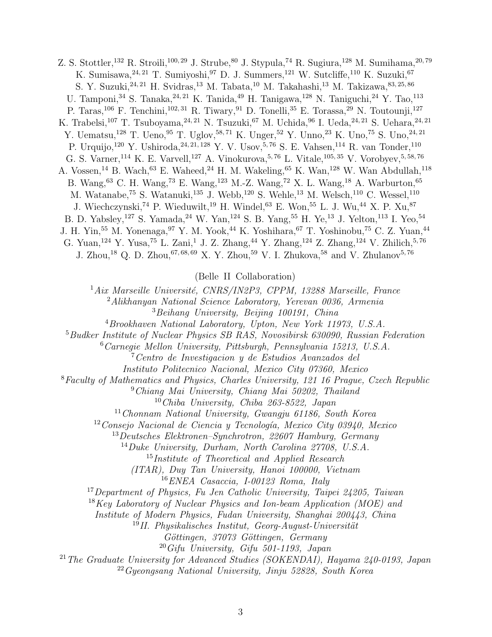Z. S. Stottler, <sup>132</sup> R. Stroili, <sup>100, 29</sup> J. Strube, <sup>80</sup> J. Stypula, <sup>74</sup> R. Sugiura, <sup>128</sup> M. Sumihama, <sup>20, 79</sup> K. Sumisawa,  $24, 21$  T. Sumiyoshi,  $97$  D. J. Summers,  $121$  W. Sutcliffe,  $110$  K. Suzuki,  $67$ S. Y. Suzuki,  $24, 21$  H. Svidras,  $13$  M. Tabata,  $10$  M. Takahashi,  $13$  M. Takizawa,  $83, 25, 86$ U. Tamponi, <sup>34</sup> S. Tanaka, <sup>24, 21</sup> K. Tanida, <sup>49</sup> H. Tanigawa, <sup>128</sup> N. Taniguchi, <sup>24</sup> Y. Tao, <sup>113</sup> P. Taras,<sup>106</sup> F. Tenchini,<sup>102,31</sup> R. Tiwary,<sup>91</sup> D. Tonelli,<sup>35</sup> E. Torassa,<sup>29</sup> N. Toutounji,<sup>127</sup> K. Trabelsi,<sup>107</sup> T. Tsuboyama,<sup>24, 21</sup> N. Tsuzuki,<sup>67</sup> M. Uchida,<sup>96</sup> I. Ueda,<sup>24, 21</sup> S. Uehara,<sup>24, 21</sup> Y. Uematsu,<sup>128</sup> T. Ueno,<sup>95</sup> T. Uglov,<sup>58,71</sup> K. Unger,<sup>52</sup> Y. Unno,<sup>23</sup> K. Uno,<sup>75</sup> S. Uno,<sup>24,21</sup> P. Urquijo,<sup>120</sup> Y. Ushiroda,<sup>24, 21, 128</sup> Y. V. Usov,<sup>5, 76</sup> S. E. Vahsen,<sup>114</sup> R. van Tonder,<sup>110</sup> G. S. Varner, <sup>114</sup> K. E. Varvell, <sup>127</sup> A. Vinokurova, <sup>5, 76</sup> L. Vitale, <sup>105, 35</sup> V. Vorobyev, <sup>5, 58, 76</sup> A. Vossen,<sup>14</sup> B. Wach,<sup>63</sup> E. Waheed,<sup>24</sup> H. M. Wakeling,<sup>65</sup> K. Wan,<sup>128</sup> W. Wan Abdullah,<sup>118</sup> B. Wang,<sup>63</sup> C. H. Wang,<sup>73</sup> E. Wang,<sup>123</sup> M.-Z. Wang,<sup>72</sup> X. L. Wang,<sup>18</sup> A. Warburton,<sup>65</sup> M. Watanabe,<sup>75</sup> S. Watanuki,<sup>135</sup> J. Webb,<sup>120</sup> S. Wehle,<sup>13</sup> M. Welsch,<sup>110</sup> C. Wessel,<sup>110</sup> J. Wiechczynski,<sup>74</sup> P. Wieduwilt,<sup>19</sup> H. Windel,<sup>63</sup> E. Won,<sup>55</sup> L. J. Wu,<sup>44</sup> X. P. Xu,<sup>87</sup> B. D. Yabsley,<sup>127</sup> S. Yamada,<sup>24</sup> W. Yan,<sup>124</sup> S. B. Yang,<sup>55</sup> H. Ye,<sup>13</sup> J. Yelton,<sup>113</sup> I. Yeo,<sup>54</sup> J. H. Yin,<sup>55</sup> M. Yonenaga,<sup>97</sup> Y. M. Yook,<sup>44</sup> K. Yoshihara,<sup>67</sup> T. Yoshinobu,<sup>75</sup> C. Z. Yuan,<sup>44</sup> G. Yuan,<sup>124</sup> Y. Yusa,<sup>75</sup> L. Zani,<sup>1</sup> J. Z. Zhang,<sup>44</sup> Y. Zhang,<sup>124</sup> Z. Zhang,<sup>124</sup> V. Zhilich,<sup>5,76</sup> J. Zhou,<sup>18</sup> Q. D. Zhou,<sup>67,68,69</sup> X. Y. Zhou,<sup>59</sup> V. I. Zhukova,<sup>58</sup> and V. Zhulanov<sup>5,76</sup>

(Belle II Collaboration)

 $1Aix$  Marseille Université, CNRS/IN2P3, CPPM, 13288 Marseille, France <sup>2</sup>Alikhanyan National Science Laboratory, Yerevan 0036, Armenia

<sup>3</sup>Beihang University, Beijing 100191, China

 $^{4}$ Brookhaven National Laboratory, Upton, New York 11973, U.S.A.

<sup>5</sup>Budker Institute of Nuclear Physics SB RAS, Novosibirsk 630090, Russian Federation

<sup>6</sup>Carnegie Mellon University, Pittsburgh, Pennsylvania 15213, U.S.A.

<sup>7</sup>Centro de Investigacion y de Estudios Avanzados del

Instituto Politecnico Nacional, Mexico City 07360, Mexico

<sup>8</sup>Faculty of Mathematics and Physics, Charles University, 121 16 Prague, Czech Republic

<sup>9</sup>Chiang Mai University, Chiang Mai 50202, Thailand

<sup>10</sup>Chiba University, Chiba 263-8522, Japan

<sup>11</sup>Chonnam National University, Gwangju 61186, South Korea

 $12$ Consejo Nacional de Ciencia y Tecnología, Mexico City 03940, Mexico

<sup>13</sup>Deutsches Elektronen–Synchrotron, 22607 Hamburg, Germany

<sup>14</sup>Duke University, Durham, North Carolina 27708, U.S.A.

<sup>15</sup>Institute of Theoretical and Applied Research

(ITAR), Duy Tan University, Hanoi 100000, Vietnam

<sup>16</sup>ENEA Casaccia, I-00123 Roma, Italy

<sup>17</sup>Department of Physics, Fu Jen Catholic University, Taipei 24205, Taiwan

<sup>18</sup>Key Laboratory of Nuclear Physics and Ion-beam Application (MOE) and

Institute of Modern Physics, Fudan University, Shanghai 200443, China

<sup>19</sup>II. Physikalisches Institut, Georg-August-Universität

Göttingen, 37073 Göttingen, Germany

 $^{20}G$ ifu University, Gifu 501-1193, Japan

<sup>21</sup>The Graduate University for Advanced Studies (SOKENDAI), Hayama 240-0193, Japan  $^{22}Gyeongsang National University, Jinju 52828, South Korea$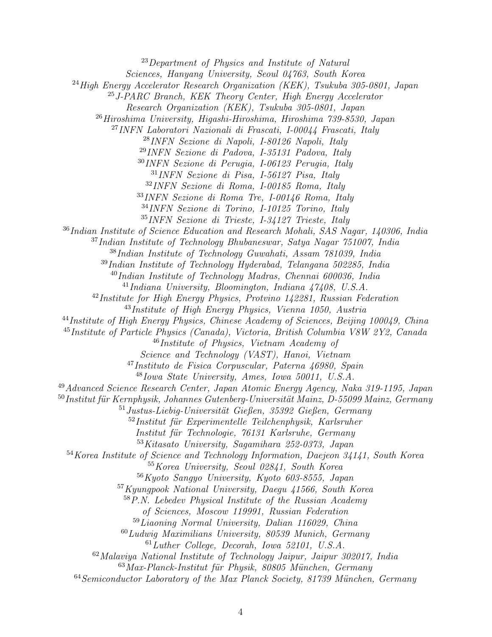Department of Physics and Institute of Natural Sciences, Hanyang University, Seoul 04763, South Korea  $^{24}$ High Energy Accelerator Research Organization (KEK), Tsukuba 305-0801, Japan J-PARC Branch, KEK Theory Center, High Energy Accelerator Research Organization (KEK), Tsukuba 305-0801, Japan Hiroshima University, Higashi-Hiroshima, Hiroshima 739-8530, Japan INFN Laboratori Nazionali di Frascati, I-00044 Frascati, Italy INFN Sezione di Napoli, I-80126 Napoli, Italy INFN Sezione di Padova, I-35131 Padova, Italy INFN Sezione di Perugia, I-06123 Perugia, Italy INFN Sezione di Pisa, I-56127 Pisa, Italy INFN Sezione di Roma, I-00185 Roma, Italy INFN Sezione di Roma Tre, I-00146 Roma, Italy INFN Sezione di Torino, I-10125 Torino, Italy INFN Sezione di Trieste, I-34127 Trieste, Italy Indian Institute of Science Education and Research Mohali, SAS Nagar, 140306, India Indian Institute of Technology Bhubaneswar, Satya Nagar 751007, India Indian Institute of Technology Guwahati, Assam 781039, India Indian Institute of Technology Hyderabad, Telangana 502285, India  $^{40}$ Indian Institute of Technology Madras, Chennai 600036, India  $^{41}$ Indiana University, Bloomington, Indiana  $47408$ , U.S.A.  $^{42}$ Institute for High Energy Physics, Protvino 142281, Russian Federation  $^{43}$ Institute of High Energy Physics, Vienna 1050, Austria <sup>44</sup>Institute of High Energy Physics, Chinese Academy of Sciences, Beijing 100049, China Institute of Particle Physics (Canada), Victoria, British Columbia V8W 2Y2, Canada Institute of Physics, Vietnam Academy of Science and Technology (VAST), Hanoi, Vietnam Instituto de Fisica Corpuscular, Paterna 46980, Spain Iowa State University, Ames, Iowa 50011, U.S.A. Advanced Science Research Center, Japan Atomic Energy Agency, Naka 319-1195, Japan Institut für Kernphysik, Johannes Gutenberg-Universität Mainz, D-55099 Mainz, Germany Justus-Liebig-Universität Gießen, 35392 Gießen, Germany Institut für Experimentelle Teilchenphysik, Karlsruher Institut für Technologie, 76131 Karlsruhe, Germany Kitasato University, Sagamihara 252-0373, Japan Korea Institute of Science and Technology Information, Daejeon 34141, South Korea Korea University, Seoul 02841, South Korea Kyoto Sangyo University, Kyoto 603-8555, Japan Kyungpook National University, Daegu 41566, South Korea P.N. Lebedev Physical Institute of the Russian Academy of Sciences, Moscow 119991, Russian Federation Liaoning Normal University, Dalian 116029, China  $^{60}Ludwig$  Maximilians University, 80539 Munich, Germany Luther College, Decorah, Iowa 52101, U.S.A. Malaviya National Institute of Technology Jaipur, Jaipur 302017, India Max-Planck-Institut für Physik, 80805 München, Germany Semiconductor Laboratory of the Max Planck Society, 81739 München, Germany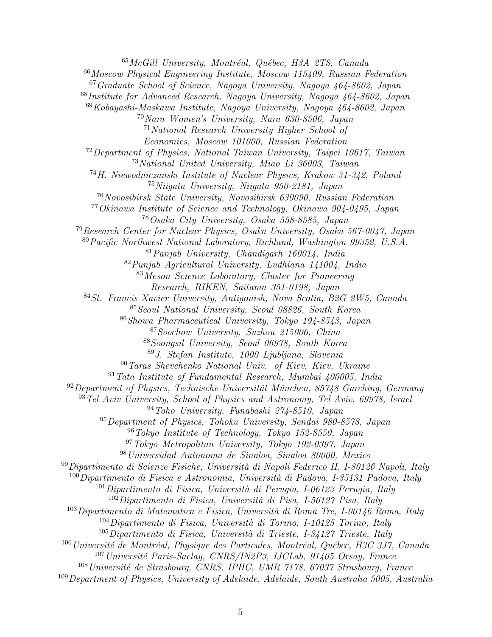McGill University, Montréal, Québec, H3A 2T8, Canada Moscow Physical Engineering Institute, Moscow 115409, Russian Federation Graduate School of Science, Nagoya University, Nagoya 464-8602, Japan Institute for Advanced Research, Nagoya University, Nagoya 464-8602, Japan Kobayashi-Maskawa Institute, Nagoya University, Nagoya 464-8602, Japan Nara Women's University, Nara 630-8506, Japan National Research University Higher School of Economics, Moscow 101000, Russian Federation Department of Physics, National Taiwan University, Taipei 10617, Taiwan National United University, Miao Li 36003, Taiwan H. Niewodniczanski Institute of Nuclear Physics, Krakow 31-342, Poland Niigata University, Niigata 950-2181, Japan Novosibirsk State University, Novosibirsk 630090, Russian Federation Okinawa Institute of Science and Technology, Okinawa 904-0495, Japan Osaka City University, Osaka 558-8585, Japan Research Center for Nuclear Physics, Osaka University, Osaka 567-0047, Japan Pacific Northwest National Laboratory, Richland, Washington 99352, U.S.A. Panjab University, Chandigarh 160014, India Punjab Agricultural University, Ludhiana 141004, India Meson Science Laboratory, Cluster for Pioneering Research, RIKEN, Saitama 351-0198, Japan St. Francis Xavier University, Antigonish, Nova Scotia, B2G 2W5, Canada Seoul National University, Seoul 08826, South Korea Showa Pharmaceutical University, Tokyo 194-8543, Japan Soochow University, Suzhou 215006, China Soongsil University, Seoul 06978, South Korea J. Stefan Institute, 1000 Ljubljana, Slovenia Taras Shevchenko National Univ. of Kiev, Kiev, Ukraine Tata Institute of Fundamental Research, Mumbai  $400005$ , India Department of Physics, Technische Universität München, 85748 Garching, Germany Tel Aviv University, School of Physics and Astronomy, Tel Aviv, 69978, Israel Toho University, Funabashi 274-8510, Japan Department of Physics, Tohoku University, Sendai 980-8578, Japan Tokyo Institute of Technology, Tokyo 152-8550, Japan Tokyo Metropolitan University, Tokyo 192-0397, Japan Universidad Autonoma de Sinaloa, Sinaloa 80000, Mexico Dipartimento di Scienze Fisiche, Università di Napoli Federico II, I-80126 Napoli, Italy Dipartimento di Fisica e Astronomia, Università di Padova, I-35131 Padova, Italy Dipartimento di Fisica, Università di Perugia, I-06123 Perugia, Italy Dipartimento di Fisica, Università di Pisa, I-56127 Pisa, Italy Dipartimento di Matematica e Fisica, Università di Roma Tre, I-00146 Roma, Italy Dipartimento di Fisica, Università di Torino, I-10125 Torino, Italy Dipartimento di Fisica, Università di Trieste, I-34127 Trieste, Italy Université de Montréal, Physique des Particules, Montréal, Québec, H3C 3J7, Canada <sup>107</sup> Université Paris-Saclay, CNRS/IN2P3, IJCLab, 91405 Orsay, France Université de Strasbourg, CNRS, IPHC, UMR 7178, 67037 Strasbourg, France Department of Physics, University of Adelaide, Adelaide, South Australia 5005, Australia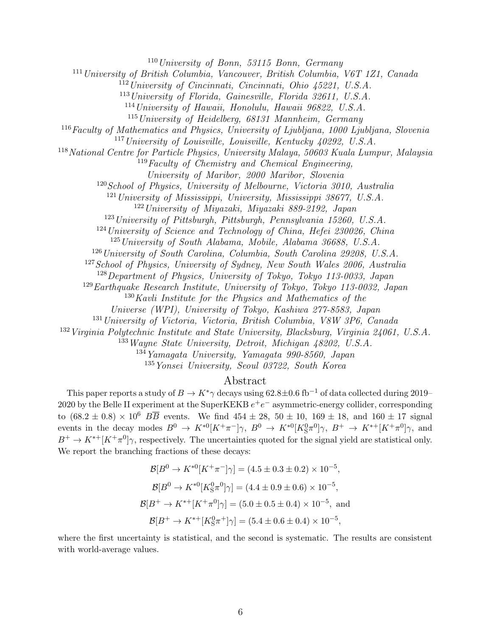$110$ University of Bonn, 53115 Bonn, Germany

<sup>111</sup> University of British Columbia, Vancouver, British Columbia, V6T 1Z1, Canada

<sup>112</sup>University of Cincinnati, Cincinnati, Ohio 45221, U.S.A.

<sup>113</sup>University of Florida, Gainesville, Florida 32611, U.S.A.

<sup>114</sup>University of Hawaii, Honolulu, Hawaii 96822, U.S.A.

 $115$ University of Heidelberg, 68131 Mannheim, Germany

<sup>116</sup>Faculty of Mathematics and Physics, University of Ljubljana, 1000 Ljubljana, Slovenia

 $117$ University of Louisville, Louisville, Kentucky  $40292$ , U.S.A.

<sup>118</sup>National Centre for Particle Physics, University Malaya, 50603 Kuala Lumpur, Malaysia

<sup>119</sup>Faculty of Chemistry and Chemical Engineering,

University of Maribor, 2000 Maribor, Slovenia

<sup>120</sup>School of Physics, University of Melbourne, Victoria 3010, Australia

 $121$  University of Mississippi, University, Mississippi 38677, U.S.A.

<sup>122</sup>University of Miyazaki, Miyazaki 889-2192, Japan

<sup>123</sup>University of Pittsburgh, Pittsburgh, Pennsylvania 15260, U.S.A.

 $124$ University of Science and Technology of China, Hefei 230026, China

<sup>125</sup> University of South Alabama, Mobile, Alabama 36688, U.S.A.

<sup>126</sup> University of South Carolina, Columbia, South Carolina 29208, U.S.A.

<sup>127</sup> School of Physics, University of Sydney, New South Wales 2006, Australia

<sup>128</sup>Department of Physics, University of Tokyo, Tokyo 113-0033, Japan

<sup>129</sup>Earthquake Research Institute, University of Tokyo, Tokyo 113-0032, Japan

 $130$ Kavli Institute for the Physics and Mathematics of the

Universe (WPI), University of Tokyo, Kashiwa 277-8583, Japan

<sup>131</sup> University of Victoria, Victoria, British Columbia, V8W 3P6, Canada

<sup>132</sup>Virginia Polytechnic Institute and State University, Blacksburg, Virginia 24061, U.S.A.

<sup>133</sup>Wayne State University, Detroit, Michigan 48202, U.S.A.

 $134$ Yamagata University, Yamagata 990-8560, Japan

<sup>135</sup>Yonsei University, Seoul 03722, South Korea

## Abstract

This paper reports a study of  $B \to K^*\gamma$  decays using 62.8±0.6 fb<sup>-1</sup> of data collected during 2019– 2020 by the Belle II experiment at the SuperKEKB  $e^+e^-$  asymmetric-energy collider, corresponding to  $(68.2 \pm 0.8) \times 10^6$   $B\overline{B}$  events. We find  $454 \pm 28$ ,  $50 \pm 10$ ,  $169 \pm 18$ , and  $160 \pm 17$  signal events in the decay modes  $B^0 \to K^{*0}[K^+\pi^-]\gamma$ ,  $B^0 \to K^{*0}[K^0_S\pi^0]\gamma$ ,  $B^+ \to K^{*+}[K^+\pi^0]\gamma$ , and  $B^+ \to K^{*+}[K^+\pi^0]\gamma$ , respectively. The uncertainties quoted for the signal yield are statistical only. We report the branching fractions of these decays:

$$
\mathcal{B}[B^0 \to K^{*0}[K^+\pi^-]\gamma] = (4.5 \pm 0.3 \pm 0.2) \times 10^{-5},
$$
  
\n
$$
\mathcal{B}[B^0 \to K^{*0}[K_S^0\pi^0]\gamma] = (4.4 \pm 0.9 \pm 0.6) \times 10^{-5},
$$
  
\n
$$
\mathcal{B}[B^+ \to K^{*+}[K^+\pi^0]\gamma] = (5.0 \pm 0.5 \pm 0.4) \times 10^{-5},
$$
 and  
\n
$$
\mathcal{B}[B^+ \to K^{*+}[K_S^0\pi^+]\gamma] = (5.4 \pm 0.6 \pm 0.4) \times 10^{-5},
$$

where the first uncertainty is statistical, and the second is systematic. The results are consistent with world-average values.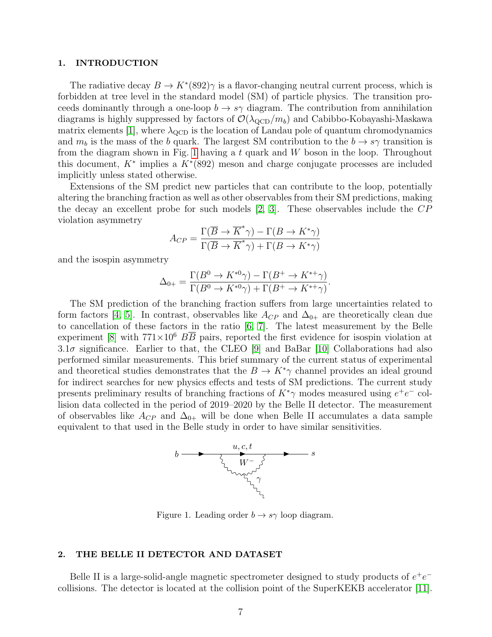#### 1. INTRODUCTION

The radiative decay  $B \to K^*(892)$  is a flavor-changing neutral current process, which is forbidden at tree level in the standard model (SM) of particle physics. The transition proceeds dominantly through a one-loop  $b \to s\gamma$  diagram. The contribution from annihilation diagrams is highly suppressed by factors of  $\mathcal{O}(\lambda_{\text{QCD}}/m_b)$  and Cabibbo-Kobayashi-Maskawa matrix elements [\[1\]](#page-14-0), where  $\lambda_{\text{QCD}}$  is the location of Landau pole of quantum chromodynamics and  $m_b$  is the mass of the b quark. The largest SM contribution to the  $b \rightarrow s\gamma$  transition is from the diagram shown in Fig. [1](#page-6-0) having a t quark and  $W$  boson in the loop. Throughout this document,  $K^*$  implies a  $K^*(892)$  meson and charge conjugate processes are included implicitly unless stated otherwise.

Extensions of the SM predict new particles that can contribute to the loop, potentially altering the branching fraction as well as other observables from their SM predictions, making the decay an excellent probe for such models [\[2,](#page-14-1) [3\]](#page-14-2). These observables include the CP violation asymmetry

$$
A_{CP} = \frac{\Gamma(\overline{B} \to \overline{K}^* \gamma) - \Gamma(B \to K^* \gamma)}{\Gamma(\overline{B} \to \overline{K}^* \gamma) + \Gamma(B \to K^* \gamma)}
$$

and the isospin asymmetry

$$
\Delta_{0+} = \frac{\Gamma(B^0 \to K^{*0}\gamma) - \Gamma(B^+ \to K^{*+}\gamma)}{\Gamma(B^0 \to K^{*0}\gamma) + \Gamma(B^+ \to K^{*+}\gamma)}.
$$

The SM prediction of the branching fraction suffers from large uncertainties related to form factors [\[4,](#page-14-3) [5\]](#page-14-4). In contrast, observables like  $A_{CP}$  and  $\Delta_{0+}$  are theoretically clean due to cancellation of these factors in the ratio [\[6,](#page-14-5) [7\]](#page-14-6). The latest measurement by the Belle experiment [\[8\]](#page-14-7) with  $771\times10^6$  BB pairs, reported the first evidence for isospin violation at  $3.1\sigma$  significance. Earlier to that, the CLEO [\[9\]](#page-14-8) and BaBar [\[10\]](#page-14-9) Collaborations had also performed similar measurements. This brief summary of the current status of experimental and theoretical studies demonstrates that the  $B \to K^*\gamma$  channel provides an ideal ground for indirect searches for new physics effects and tests of SM predictions. The current study presents preliminary results of branching fractions of  $K^*\gamma$  modes measured using  $e^+e^-$  collision data collected in the period of 2019–2020 by the Belle II detector. The measurement of observables like  $A_{CP}$  and  $\Delta_{0+}$  will be done when Belle II accumulates a data sample equivalent to that used in the Belle study in order to have similar sensitivities.



Figure 1. Leading order  $b \to s\gamma$  loop diagram.

#### <span id="page-6-0"></span>2. THE BELLE II DETECTOR AND DATASET

Belle II is a large-solid-angle magnetic spectrometer designed to study products of  $e^+e^$ collisions. The detector is located at the collision point of the SuperKEKB accelerator [\[11\]](#page-14-10).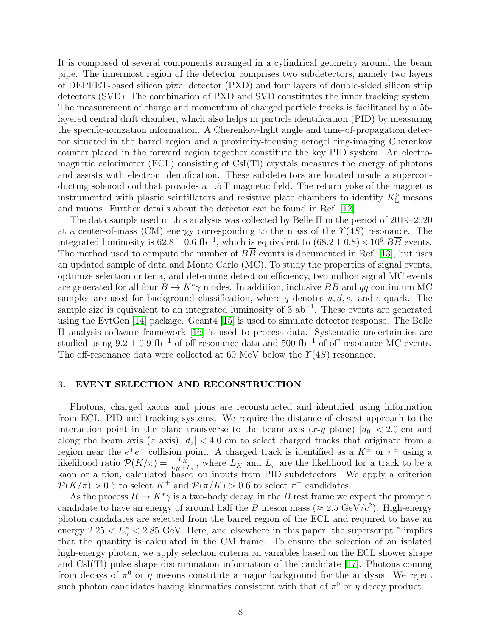It is composed of several components arranged in a cylindrical geometry around the beam pipe. The innermost region of the detector comprises two subdetectors, namely two layers of DEPFET-based silicon pixel detector (PXD) and four layers of double-sided silicon strip detectors (SVD). The combination of PXD and SVD constitutes the inner tracking system. The measurement of charge and momentum of charged particle tracks is facilitated by a 56 layered central drift chamber, which also helps in particle identification (PID) by measuring the specific-ionization information. A Cherenkov-light angle and time-of-propagation detector situated in the barrel region and a proximity-focusing aerogel ring-imaging Cherenkov counter placed in the forward region together constitute the key PID system. An electromagnetic calorimeter (ECL) consisting of CsI(Tl) crystals measures the energy of photons and assists with electron identification. These subdetectors are located inside a superconducting solenoid coil that provides a 1.5 T magnetic field. The return yoke of the magnet is instrumented with plastic scintillators and resistive plate chambers to identify  $K_{\text{L}}^{0}$  mesons and muons. Further details about the detector can be found in Ref. [\[12\]](#page-14-11).

The data sample used in this analysis was collected by Belle II in the period of 2019–2020 at a center-of-mass (CM) energy corresponding to the mass of the  $\Upsilon(4S)$  resonance. The integrated luminosity is  $62.8 \pm 0.6$  fb<sup>-1</sup>, which is equivalent to  $(68.2 \pm 0.8) \times 10^6$  BB events. The method used to compute the number of  $B\overline{B}$  events is documented in Ref. [\[13\]](#page-14-12), but uses an updated sample of data and Monte Carlo (MC). To study the properties of signal events, optimize selection criteria, and determine detection efficiency, two million signal MC events are generated for all four  $B \to K^*\gamma$  modes. In addition, inclusive  $B\overline{B}$  and  $q\overline{q}$  continuum MC samples are used for background classification, where q denotes  $u, d, s$ , and c quark. The sample size is equivalent to an integrated luminosity of 3  $ab^{-1}$ . These events are generated using the EvtGen [\[14\]](#page-14-13) package. Geant4 [\[15\]](#page-14-14) is used to simulate detector response. The Belle II analysis software framework [\[16\]](#page-14-15) is used to process data. Systematic uncertainties are studied using  $9.2 \pm 0.9$  fb<sup>-1</sup> of off-resonance data and 500 fb<sup>-1</sup> of off-resonance MC events. The off-resonance data were collected at 60 MeV below the  $\Upsilon(4S)$  resonance.

### 3. EVENT SELECTION AND RECONSTRUCTION

Photons, charged kaons and pions are reconstructed and identified using information from ECL, PID and tracking systems. We require the distance of closest approach to the interaction point in the plane transverse to the beam axis  $(x-y)$  plane)  $|d_0| < 2.0$  cm and along the beam axis (z axis)  $|d_z| < 4.0$  cm to select charged tracks that originate from a region near the  $e^+e^-$  collision point. A charged track is identified as a  $K^{\pm}$  or  $\pi^{\pm}$  using a likelihood ratio  $\mathcal{P}(K/\pi) = \frac{L_K}{L_K + L_{\pi}}$ , where  $L_K$  and  $L_{\pi}$  are the likelihood for a track to be a kaon or a pion, calculated based on inputs from PID subdetectors. We apply a criterion  $\mathcal{P}(K/\pi) > 0.6$  to select  $K^{\pm}$  and  $\mathcal{P}(\pi/K) > 0.6$  to select  $\pi^{\pm}$  candidates.

As the process  $B \to K^*\gamma$  is a two-body decay, in the B rest frame we expect the prompt  $\gamma$ candidate to have an energy of around half the B meson mass ( $\approx 2.5 \text{ GeV}/c^2$ ). High-energy photon candidates are selected from the barrel region of the ECL and required to have an energy 2.25  $\lt E^*_{\gamma}$   $\lt$  2.85 GeV. Here, and elsewhere in this paper, the superscript  $^*$  implies that the quantity is calculated in the CM frame. To ensure the selection of an isolated high-energy photon, we apply selection criteria on variables based on the ECL shower shape and CsI(Tl) pulse shape discrimination information of the candidate [\[17\]](#page-14-16). Photons coming from decays of  $\pi^0$  or  $\eta$  mesons constitute a major background for the analysis. We reject such photon candidates having kinematics consistent with that of  $\pi^0$  or  $\eta$  decay product.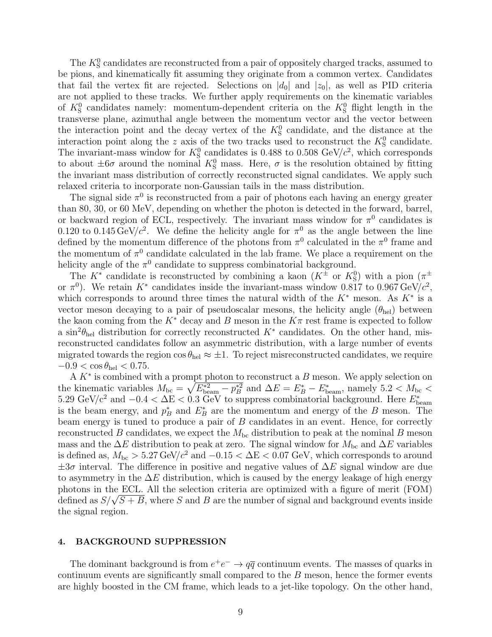The  $K^0_S$  candidates are reconstructed from a pair of oppositely charged tracks, assumed to be pions, and kinematically fit assuming they originate from a common vertex. Candidates that fail the vertex fit are rejected. Selections on  $|d_0|$  and  $|z_0|$ , as well as PID criteria are not applied to these tracks. We further apply requirements on the kinematic variables of  $K^0_S$  candidates namely: momentum-dependent criteria on the  $K^0_S$  flight length in the transverse plane, azimuthal angle between the momentum vector and the vector between the interaction point and the decay vertex of the  $K^0_S$  candidate, and the distance at the interaction point along the z axis of the two tracks used to reconstruct the  $K^0_S$  candidate. The invariant-mass window for  $K_S^0$  candidates is 0.488 to 0.508 GeV/ $c^2$ , which corresponds to about  $\pm 6\sigma$  around the nominal  $K^0_S$  mass. Here,  $\sigma$  is the resolution obtained by fitting the invariant mass distribution of correctly reconstructed signal candidates. We apply such relaxed criteria to incorporate non-Gaussian tails in the mass distribution.

The signal side  $\pi^0$  is reconstructed from a pair of photons each having an energy greater than 80, 30, or 60 MeV, depending on whether the photon is detected in the forward, barrel, or backward region of ECL, respectively. The invariant mass window for  $\pi^0$  candidates is 0.120 to 0.145 GeV/ $c^2$ . We define the helicity angle for  $\pi^0$  as the angle between the line defined by the momentum difference of the photons from  $\pi^0$  calculated in the  $\pi^0$  frame and the momentum of  $\pi^0$  candidate calculated in the lab frame. We place a requirement on the helicity angle of the  $\pi^0$  candidate to suppress combinatorial background.

The  $K^*$  candidate is reconstructed by combining a kaon  $(K^{\pm}$  or  $K_S^0$ ) with a pion  $(\pi^{\pm}$ or  $\pi^0$ ). We retain K<sup>\*</sup> candidates inside the invariant-mass window 0.817 to 0.967 GeV/ $c^2$ , which corresponds to around three times the natural width of the  $K^*$  meson. As  $K^*$  is a vector meson decaying to a pair of pseudoscalar mesons, the helicity angle  $(\theta_{hel})$  between the kaon coming from the  $K^*$  decay and B meson in the  $K\pi$  rest frame is expected to follow a  $\sin^2\theta_{\text{hel}}$  distribution for correctly reconstructed  $K^*$  candidates. On the other hand, misreconstructed candidates follow an asymmetric distribution, with a large number of events migrated towards the region  $\cos \theta_{\text{hel}} \approx \pm 1$ . To reject misreconstructed candidates, we require  $-0.9 < \cos \theta_{\text{hel}} < 0.75$ .

A  $K^*$  is combined with a prompt photon to reconstruct a  $B$  meson. We apply selection on the kinematic variables  $M_{bc} = \sqrt{E_{\text{beam}}^* - p_B^{*2}}$  and  $\Delta E = E_B^* - E_{\text{beam}}^*$ , namely 5.2 <  $M_{bc}$  < 5.29 GeV/ $c^2$  and  $-0.4 < \Delta E < 0.3$  GeV to suppress combinatorial background. Here  $E_{\text{beam}}^*$ is the beam energy, and  $p_B^*$  and  $E_B^*$  are the momentum and energy of the B meson. The beam energy is tuned to produce a pair of B candidates in an event. Hence, for correctly reconstructed B candidates, we expect the  $M_{bc}$  distribution to peak at the nominal B meson mass and the  $\Delta E$  distribution to peak at zero. The signal window for  $M_{bc}$  and  $\Delta E$  variables is defined as,  $M_{\text{bc}} > 5.27 \,\text{GeV}/c^2$  and  $-0.15 < \Delta E < 0.07 \,\text{GeV}$ , which corresponds to around  $\pm 3\sigma$  interval. The difference in positive and negative values of  $\Delta E$  signal window are due to asymmetry in the  $\Delta E$  distribution, which is caused by the energy leakage of high energy photons in the ECL. All the selection criteria are optimized with a figure of merit (FOM) pnotons in the ECL. All the selection criteria are optimized with a figure of merit (FOM)<br>defined as  $S/\sqrt{S+B}$ , where S and B are the number of signal and background events inside the signal region.

## 4. BACKGROUND SUPPRESSION

The dominant background is from  $e^+e^- \to q\bar{q}$  continuum events. The masses of quarks in continuum events are significantly small compared to the  $B$  meson, hence the former events are highly boosted in the CM frame, which leads to a jet-like topology. On the other hand,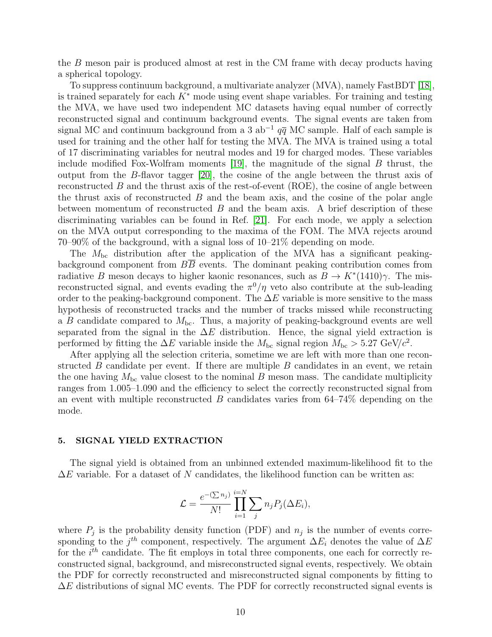the B meson pair is produced almost at rest in the CM frame with decay products having a spherical topology.

To suppress continuum background, a multivariate analyzer (MVA), namely FastBDT [\[18\]](#page-14-17), is trained separately for each  $K^*$  mode using event shape variables. For training and testing the MVA, we have used two independent MC datasets having equal number of correctly reconstructed signal and continuum background events. The signal events are taken from signal MC and continuum background from a 3 ab<sup>-1</sup>  $q\overline{q}$  MC sample. Half of each sample is used for training and the other half for testing the MVA. The MVA is trained using a total of 17 discriminating variables for neutral modes and 19 for charged modes. These variables include modified Fox-Wolfram moments  $[19]$ , the magnitude of the signal B thrust, the output from the B-flavor tagger [\[20\]](#page-14-19), the cosine of the angle between the thrust axis of reconstructed  $B$  and the thrust axis of the rest-of-event (ROE), the cosine of angle between the thrust axis of reconstructed  $B$  and the beam axis, and the cosine of the polar angle between momentum of reconstructed  $B$  and the beam axis. A brief description of these discriminating variables can be found in Ref. [\[21\]](#page-15-0). For each mode, we apply a selection on the MVA output corresponding to the maxima of the FOM. The MVA rejects around 70–90% of the background, with a signal loss of 10–21% depending on mode.

The  $M_{\text{bc}}$  distribution after the application of the MVA has a significant peakingbackground component from  $B\overline{B}$  events. The dominant peaking contribution comes from radiative B meson decays to higher kaonic resonances, such as  $B \to K^*(1410)\gamma$ . The misreconstructed signal, and events evading the  $\pi^0/\eta$  veto also contribute at the sub-leading order to the peaking-background component. The  $\Delta E$  variable is more sensitive to the mass hypothesis of reconstructed tracks and the number of tracks missed while reconstructing a B candidate compared to  $M_{\text{bc}}$ . Thus, a majority of peaking-background events are well separated from the signal in the  $\Delta E$  distribution. Hence, the signal yield extraction is performed by fitting the  $\Delta E$  variable inside the  $M_{\text{bc}}$  signal region  $M_{\text{bc}} > 5.27 \text{ GeV}/c^2$ .

After applying all the selection criteria, sometime we are left with more than one reconstructed  $B$  candidate per event. If there are multiple  $B$  candidates in an event, we retain the one having  $M_{\rm bc}$  value closest to the nominal B meson mass. The candidate multiplicity ranges from 1.005–1.090 and the efficiency to select the correctly reconstructed signal from an event with multiple reconstructed  $B$  candidates varies from 64–74% depending on the mode.

#### 5. SIGNAL YIELD EXTRACTION

The signal yield is obtained from an unbinned extended maximum-likelihood fit to the  $\Delta E$  variable. For a dataset of N candidates, the likelihood function can be written as:

$$
\mathcal{L} = \frac{e^{-(\sum n_j)} }{N!} \prod_{i=1}^{i=N} \sum_j n_j P_j(\Delta E_i),
$$

where  $P_j$  is the probability density function (PDF) and  $n_j$  is the number of events corresponding to the  $j^{th}$  component, respectively. The argument  $\Delta E_i$  denotes the value of  $\Delta E$ for the  $i<sup>th</sup>$  candidate. The fit employs in total three components, one each for correctly reconstructed signal, background, and misreconstructed signal events, respectively. We obtain the PDF for correctly reconstructed and misreconstructed signal components by fitting to  $\Delta E$  distributions of signal MC events. The PDF for correctly reconstructed signal events is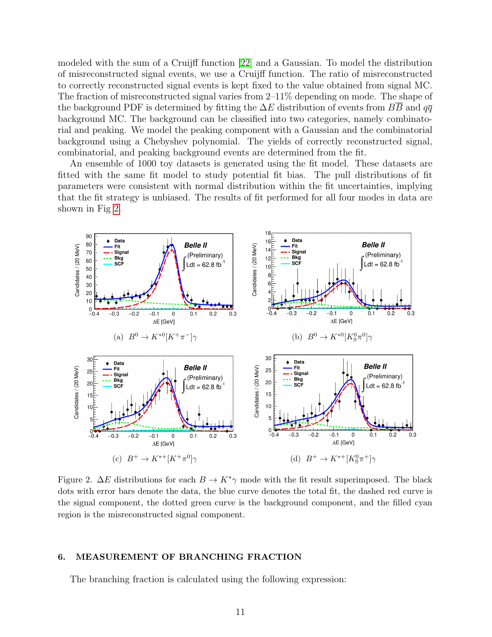modeled with the sum of a Cruijff function [\[22\]](#page-15-1) and a Gaussian. To model the distribution of misreconstructed signal events, we use a Cruijff function. The ratio of misreconstructed to correctly reconstructed signal events is kept fixed to the value obtained from signal MC. The fraction of misreconstructed signal varies from 2–11% depending on mode. The shape of the background PDF is determined by fitting the  $\Delta E$  distribution of events from BB and  $q\bar{q}$ background MC. The background can be classified into two categories, namely combinatorial and peaking. We model the peaking component with a Gaussian and the combinatorial background using a Chebyshev polynomial. The yields of correctly reconstructed signal, combinatorial, and peaking background events are determined from the fit.

An ensemble of 1000 toy datasets is generated using the fit model. These datasets are fitted with the same fit model to study potential fit bias. The pull distributions of fit parameters were consistent with normal distribution within the fit uncertainties, implying that the fit strategy is unbiased. The results of fit performed for all four modes in data are shown in Fig [2.](#page-10-0)



<span id="page-10-0"></span>Figure 2.  $\Delta E$  distributions for each  $B \to K^*\gamma$  mode with the fit result superimposed. The black dots with error bars denote the data, the blue curve denotes the total fit, the dashed red curve is the signal component, the dotted green curve is the background component, and the filled cyan region is the misreconstructed signal component.

## 6. MEASUREMENT OF BRANCHING FRACTION

The branching fraction is calculated using the following expression: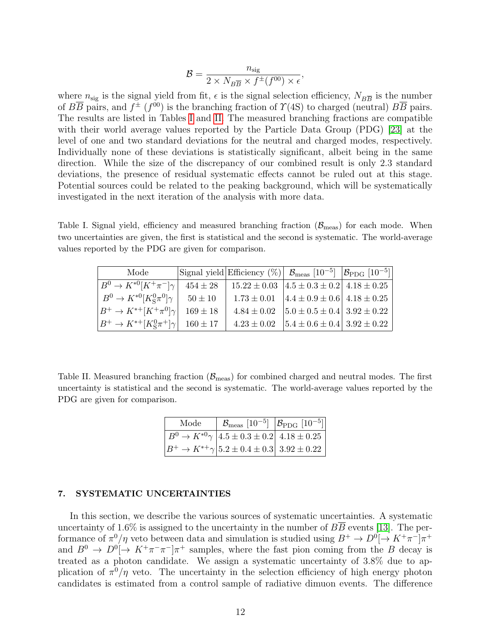$$
\mathcal{B} = \frac{n_{\text{sig}}}{2 \times N_{B\overline{B}} \times f^{\pm}(f^{00}) \times \epsilon},
$$

where  $n_{\text{sig}}$  is the signal yield from fit,  $\epsilon$  is the signal selection efficiency,  $N_{B\overline{B}}$  is the number of  $B\overline{B}$  pairs, and  $f^{\pm}(f^{00})$  is the branching fraction of  $\Upsilon(4S)$  to charged (neutral)  $B\overline{B}$  pairs. The results are listed in Tables [I](#page-11-0) and [II.](#page-11-1) The measured branching fractions are compatible with their world average values reported by the Particle Data Group (PDG) [\[23\]](#page-15-2) at the level of one and two standard deviations for the neutral and charged modes, respectively. Individually none of these deviations is statistically significant, albeit being in the same direction. While the size of the discrepancy of our combined result is only 2.3 standard deviations, the presence of residual systematic effects cannot be ruled out at this stage. Potential sources could be related to the peaking background, which will be systematically investigated in the next iteration of the analysis with more data.

<span id="page-11-0"></span>Table I. Signal yield, efficiency and measured branching fraction  $(\mathcal{B}_{\text{meas}})$  for each mode. When two uncertainties are given, the first is statistical and the second is systematic. The world-average values reported by the PDG are given for comparison.

| Mode                                  |              | Signal yield Efficiency $(\%)$ $\mathcal{B}_{\text{meas}}$ [10 <sup>-5</sup> ] $ \mathcal{B}_{\text{PDG}}$ [10 <sup>-5</sup> ] |  |
|---------------------------------------|--------------|--------------------------------------------------------------------------------------------------------------------------------|--|
| $B^0 \to K^{*0}[K^+\pi^-]\gamma$      | $454 \pm 28$ | $15.22 \pm 0.03$ $ 4.5 \pm 0.3 \pm 0.2 $ $4.18 \pm 0.25$                                                                       |  |
| $B^0 \to K^{*0} [K^0_S \pi^0] \gamma$ | $50 \pm 10$  | $1.73 \pm 0.01$ $\vert 4.4 \pm 0.9 \pm 0.6 \vert 4.18 \pm 0.25 \vert$                                                          |  |
| $B^+\to K^{*+}[K^+\pi^0]\gamma$       | $169 \pm 18$ | $4.84 \pm 0.02$   $5.0 \pm 0.5 \pm 0.4$   $3.92 \pm 0.22$                                                                      |  |
| $B^+ \to K^{*+} [K^0_S \pi^+] \gamma$ | $160 \pm 17$ | $4.23 \pm 0.02$   $5.4 \pm 0.6 \pm 0.4$   $3.92 \pm 0.22$                                                                      |  |

<span id="page-11-1"></span>Table II. Measured branching fraction  $(\mathcal{B}_{\text{meas}})$  for combined charged and neutral modes. The first uncertainty is statistical and the second is systematic. The world-average values reported by the PDG are given for comparison.

| Mode | $\left[\right. \mathcal{B}_{\text{meas}}\left[10^{-5}\right] \left.\left \mathcal{B}_{\text{PDG}}\left[10^{-5}\right]\right \right]$ |  |
|------|--------------------------------------------------------------------------------------------------------------------------------------|--|
|      | $B^0 \rightarrow K^{*0}\gamma$ 4.5 ± 0.3 ± 0.2 4.18 ± 0.25                                                                           |  |
|      | $B^+ \to K^{*+}\gamma$ 5.2 ± 0.4 ± 0.3 3.92 ± 0.22                                                                                   |  |

#### 7. SYSTEMATIC UNCERTAINTIES

In this section, we describe the various sources of systematic uncertainties. A systematic uncertainty of 1.6% is assigned to the uncertainty in the number of  $B\overline{B}$  events [\[13\]](#page-14-12). The performance of  $\pi^0/\eta$  veto between data and simulation is studied using  $B^+ \to D^0 \rightarrow K^+\pi^- \rightarrow^+$ and  $B^0 \to D^0 \rightarrow K^+\pi^-\pi^- \rightarrow \pi^+$  samples, where the fast pion coming from the B decay is treated as a photon candidate. We assign a systematic uncertainty of 3.8% due to application of  $\pi^0/\eta$  veto. The uncertainty in the selection efficiency of high energy photon candidates is estimated from a control sample of radiative dimuon events. The difference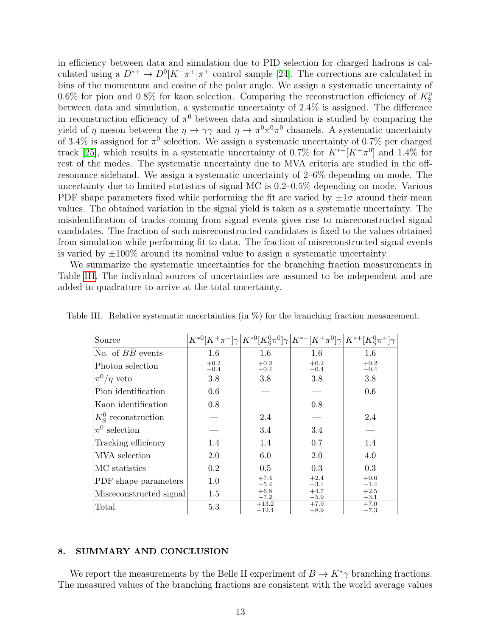in efficiency between data and simulation due to PID selection for charged hadrons is calculated using a  $D^{*+} \to D^{0}[K^-\pi^+] \pi^+$  control sample [\[24\]](#page-15-3). The corrections are calculated in bins of the momentum and cosine of the polar angle. We assign a systematic uncertainty of 0.6% for pion and 0.8% for kaon selection. Comparing the reconstruction efficiency of  $K^0_S$ between data and simulation, a systematic uncertainty of 2.4% is assigned. The difference in reconstruction efficiency of  $\pi^0$  between data and simulation is studied by comparing the yield of  $\eta$  meson between the  $\eta \to \gamma \gamma$  and  $\eta \to \pi^0 \pi^0 \pi^0$  channels. A systematic uncertainty of 3.4% is assigned for  $\pi^0$  selection. We assign a systematic uncertainty of 0.7% per charged track [\[25\]](#page-15-4), which results in a systematic uncertainty of 0.7% for  $K^{*+}[K^+\pi^0]$  and 1.4% for rest of the modes. The systematic uncertainty due to MVA criteria are studied in the offresonance sideband. We assign a systematic uncertainty of 2–6% depending on mode. The uncertainty due to limited statistics of signal MC is 0.2–0.5% depending on mode. Various PDF shape parameters fixed while performing the fit are varied by  $\pm 1\sigma$  around their mean values. The obtained variation in the signal yield is taken as a systematic uncertainty. The misidentification of tracks coming from signal events gives rise to misreconstructed signal candidates. The fraction of such misreconstructed candidates is fixed to the values obtained from simulation while performing fit to data. The fraction of misreconstructed signal events is varied by  $\pm 100\%$  around its nominal value to assign a systematic uncertainty.

We summarize the systematic uncertainties for the branching fraction measurements in Table [III.](#page-12-0) The individual sources of uncertainties are assumed to be independent and are added in quadrature to arrive at the total uncertainty.

| Source                        | $K^{*0}[K^+\pi^-]\gamma$ | $K^{*0}[K^0_S\pi^0]\gamma$ | $K^{*+}[K^+\pi^0]\gamma$ | $K^{*+}$         |
|-------------------------------|--------------------------|----------------------------|--------------------------|------------------|
| No. of $B\overline{B}$ events | 1.6                      | 1.6                        | 1.6                      | 1.6              |
| Photon selection              | $+0.2$<br>$-0.4$         | $+0.2$<br>$-0.4$           | $+0.2$<br>$-0.4$         | $+0.2$<br>$-0.4$ |
| $\pi^0/\eta$ veto             | 3.8                      | 3.8                        | 3.8                      | 3.8              |
| Pion identification           | 0.6                      |                            |                          | 0.6              |
| Kaon identification           | 0.8                      |                            | 0.8                      |                  |
| $K_{\rm S}^0$ reconstruction  |                          | 2.4                        |                          | 2.4              |
| $\pi^0$ selection             |                          | 3.4                        | 3.4                      |                  |
| Tracking efficiency           | 1.4                      | 1.4                        | 0.7                      | 1.4              |
| MVA selection                 | 2.0                      | 6.0                        | 2.0                      | 4.0              |
| MC statistics                 | $0.2\,$                  | 0.5                        | 0.3                      | 0.3              |
| PDF shape parameters          | 1.0                      | $+7.4$<br>$-5.4$           | $+2.4$<br>$-3.1$         | $+0.6$<br>$-1.4$ |
| Misreconstructed signal       | 1.5                      | $+6.8$<br>$-7.2$           | $+4.7$<br>$-5.9$         | $+2.5$<br>$-3.1$ |
| Total                         | 5.3                      | $+13.2$<br>$-12.4$         | $+7.9$<br>$-8.9$         | $+7.0$<br>$-7.3$ |

<span id="page-12-0"></span>Table III. Relative systematic uncertainties (in %) for the branching fraction measurement.

#### 8. SUMMARY AND CONCLUSION

We report the measurements by the Belle II experiment of  $B \to K^*\gamma$  branching fractions. The measured values of the branching fractions are consistent with the world average values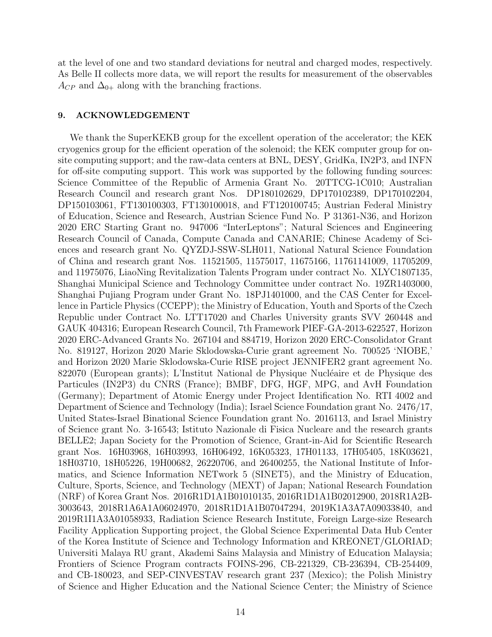at the level of one and two standard deviations for neutral and charged modes, respectively. As Belle II collects more data, we will report the results for measurement of the observables  $A_{CP}$  and  $\Delta_{0+}$  along with the branching fractions.

## 9. ACKNOWLEDGEMENT

We thank the SuperKEKB group for the excellent operation of the accelerator; the KEK cryogenics group for the efficient operation of the solenoid; the KEK computer group for onsite computing support; and the raw-data centers at BNL, DESY, GridKa, IN2P3, and INFN for off-site computing support. This work was supported by the following funding sources: Science Committee of the Republic of Armenia Grant No. 20TTCG-1C010; Australian Research Council and research grant Nos. DP180102629, DP170102389, DP170102204, DP150103061, FT130100303, FT130100018, and FT120100745; Austrian Federal Ministry of Education, Science and Research, Austrian Science Fund No. P 31361-N36, and Horizon 2020 ERC Starting Grant no. 947006 "InterLeptons"; Natural Sciences and Engineering Research Council of Canada, Compute Canada and CANARIE; Chinese Academy of Sciences and research grant No. QYZDJ-SSW-SLH011, National Natural Science Foundation of China and research grant Nos. 11521505, 11575017, 11675166, 11761141009, 11705209, and 11975076, LiaoNing Revitalization Talents Program under contract No. XLYC1807135, Shanghai Municipal Science and Technology Committee under contract No. 19ZR1403000, Shanghai Pujiang Program under Grant No. 18PJ1401000, and the CAS Center for Excellence in Particle Physics (CCEPP); the Ministry of Education, Youth and Sports of the Czech Republic under Contract No. LTT17020 and Charles University grants SVV 260448 and GAUK 404316; European Research Council, 7th Framework PIEF-GA-2013-622527, Horizon 2020 ERC-Advanced Grants No. 267104 and 884719, Horizon 2020 ERC-Consolidator Grant No. 819127, Horizon 2020 Marie Sklodowska-Curie grant agreement No. 700525 'NIOBE,' and Horizon 2020 Marie Sklodowska-Curie RISE project JENNIFER2 grant agreement No. 822070 (European grants); L'Institut National de Physique Nucléaire et de Physique des Particules (IN2P3) du CNRS (France); BMBF, DFG, HGF, MPG, and AvH Foundation (Germany); Department of Atomic Energy under Project Identification No. RTI 4002 and Department of Science and Technology (India); Israel Science Foundation grant No. 2476/17, United States-Israel Binational Science Foundation grant No. 2016113, and Israel Ministry of Science grant No. 3-16543; Istituto Nazionale di Fisica Nucleare and the research grants BELLE2; Japan Society for the Promotion of Science, Grant-in-Aid for Scientific Research grant Nos. 16H03968, 16H03993, 16H06492, 16K05323, 17H01133, 17H05405, 18K03621, 18H03710, 18H05226, 19H00682, 26220706, and 26400255, the National Institute of Informatics, and Science Information NETwork 5 (SINET5), and the Ministry of Education, Culture, Sports, Science, and Technology (MEXT) of Japan; National Research Foundation (NRF) of Korea Grant Nos. 2016R1D1A1B01010135, 2016R1D1A1B02012900, 2018R1A2B-3003643, 2018R1A6A1A06024970, 2018R1D1A1B07047294, 2019K1A3A7A09033840, and 2019R1I1A3A01058933, Radiation Science Research Institute, Foreign Large-size Research Facility Application Supporting project, the Global Science Experimental Data Hub Center of the Korea Institute of Science and Technology Information and KREONET/GLORIAD; Universiti Malaya RU grant, Akademi Sains Malaysia and Ministry of Education Malaysia; Frontiers of Science Program contracts FOINS-296, CB-221329, CB-236394, CB-254409, and CB-180023, and SEP-CINVESTAV research grant 237 (Mexico); the Polish Ministry of Science and Higher Education and the National Science Center; the Ministry of Science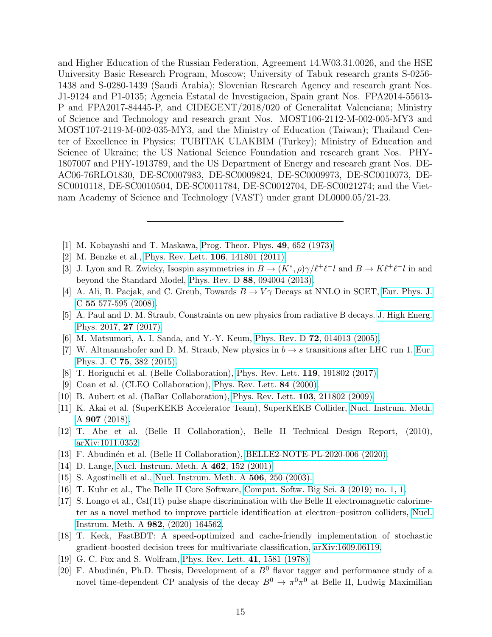and Higher Education of the Russian Federation, Agreement 14.W03.31.0026, and the HSE University Basic Research Program, Moscow; University of Tabuk research grants S-0256- 1438 and S-0280-1439 (Saudi Arabia); Slovenian Research Agency and research grant Nos. J1-9124 and P1-0135; Agencia Estatal de Investigacion, Spain grant Nos. FPA2014-55613- P and FPA2017-84445-P, and CIDEGENT/2018/020 of Generalitat Valenciana; Ministry of Science and Technology and research grant Nos. MOST106-2112-M-002-005-MY3 and MOST107-2119-M-002-035-MY3, and the Ministry of Education (Taiwan); Thailand Center of Excellence in Physics; TUBITAK ULAKBIM (Turkey); Ministry of Education and Science of Ukraine; the US National Science Foundation and research grant Nos. PHY-1807007 and PHY-1913789, and the US Department of Energy and research grant Nos. DE-AC06-76RLO1830, DE-SC0007983, DE-SC0009824, DE-SC0009973, DE-SC0010073, DE-SC0010118, DE-SC0010504, DE-SC0011784, DE-SC0012704, DE-SC0021274; and the Vietnam Academy of Science and Technology (VAST) under grant DL0000.05/21-23.

- <span id="page-14-0"></span>[1] M. Kobayashi and T. Maskawa, [Prog. Theor. Phys.](https://academic.oup.com/ptp/article/49/2/652/1858101) 49, 652 (1973).
- <span id="page-14-1"></span>[2] M. Benzke et al., [Phys. Rev. Lett.](https://journals.aps.org/prl/abstract/10.1103/PhysRevLett.106.141801) 106, 141801 (2011).
- <span id="page-14-2"></span>[3] J. Lyon and R. Zwicky, Isospin asymmetries in  $B \to (K^*, \rho) \gamma/\ell^+ \ell^- l$  and  $B \to K \ell^+ \ell^- l$  in and beyond the Standard Model, Phys. Rev. D 88[, 094004 \(2013\).](https://journals.aps.org/prd/abstract/10.1103/PhysRevD.88.094004)
- <span id="page-14-3"></span>[4] A. Ali, B. Pacjak, and C. Greub, Towards  $B \to V\gamma$  Decays at NNLO in SCET, [Eur. Phys. J.](https://link.springer.com/article/10.1140%2Fepjc%2Fs10052-008-0623-5) C 55 [577-595 \(2008\).](https://link.springer.com/article/10.1140%2Fepjc%2Fs10052-008-0623-5)
- <span id="page-14-4"></span>[5] A. Paul and D. M. Straub, Constraints on new physics from radiative B decays. [J. High Energ.](https://link.springer.com/article/10.1007%2FJHEP04%282017%29027) [Phys. 2017,](https://link.springer.com/article/10.1007%2FJHEP04%282017%29027) 27 (2017).
- <span id="page-14-6"></span><span id="page-14-5"></span>[6] M. Matsumori, A. I. Sanda, and Y.-Y. Keum, Phys. Rev. D 72[, 014013 \(2005\).](https://journals.aps.org/prd/abstract/10.1103/PhysRevD.72.014013)
- [7] W. Altmannshofer and D. M. Straub, New physics in  $b \to s$  transitions after LHC run 1. [Eur.](https://link.springer.com/article/10.1140/epjc/s10052-015-3602-7) Phys. J. C 75[, 382 \(2015\).](https://link.springer.com/article/10.1140/epjc/s10052-015-3602-7)
- <span id="page-14-7"></span>[8] T. Horiguchi et al. (Belle Collaboration), [Phys. Rev. Lett.](https://journals.aps.org/prl/abstract/10.1103/PhysRevLett.119.191802) 119, 191802 (2017).
- <span id="page-14-8"></span>[9] Coan et al. (CLEO Collaboration), [Phys. Rev. Lett.](https://journals.aps.org/prl/abstract/10.1103/PhysRevLett.84.5283) 84 (2000).
- <span id="page-14-9"></span>[10] B. Aubert et al. (BaBar Collaboration), [Phys. Rev. Lett.](https://journals.aps.org/prl/abstract/10.1103/PhysRevLett.103.211802) 103, 211802 (2009).
- <span id="page-14-10"></span>[11] K. Akai et al. (SuperKEKB Accelerator Team), SuperKEKB Collider, [Nucl. Instrum. Meth.](https://reader.elsevier.com/reader/sd/pii/S0168900218309616?token=30564431B53C974D2AD29B8A4CE3AA04536A423B0CE6B92417A504BCCF2BC478ECB05D003A00DAFF4072825650BA0373&originRegion=eu-west-1&originCreation=20210805174928) A 907 [\(2018\).](https://reader.elsevier.com/reader/sd/pii/S0168900218309616?token=30564431B53C974D2AD29B8A4CE3AA04536A423B0CE6B92417A504BCCF2BC478ECB05D003A00DAFF4072825650BA0373&originRegion=eu-west-1&originCreation=20210805174928)
- <span id="page-14-11"></span>[12] T. Abe et al. (Belle II Collaboration), Belle II Technical Design Report, (2010), [arXiv:1011.0352.](https://arxiv.org/abs/1011.0352)
- <span id="page-14-12"></span>[13] F. Abudin´en et al. (Belle II Collaboration), [BELLE2-NOTE-PL-2020-006 \(2020\).](https://docs.belle2.org/record/1997)
- <span id="page-14-13"></span>[14] D. Lange, [Nucl. Instrum. Meth. A](https://www.sciencedirect.com/science/article/abs/pii/S0168900201000894) **462**, 152 (2001).
- <span id="page-14-14"></span>[15] S. Agostinelli et al., [Nucl. Instrum. Meth. A](https://www.sciencedirect.com/science/article/abs/pii/S0168900203013688?via%3Dihub) 506, 250 (2003).
- <span id="page-14-15"></span>[16] T. Kuhr et al., The Belle II Core Software, [Comput. Softw. Big Sci.](https://link.springer.com/article/10.1007/s41781-018-0017-9) 3 (2019) no. 1, 1.
- <span id="page-14-16"></span>[17] S. Longo et al., CsI(Tl) pulse shape discrimination with the Belle II electromagnetic calorimeter as a novel method to improve particle identification at electron–positron colliders, [Nucl.](https://www.sciencedirect.com/science/article/abs/pii/S0168900220309591?via%3Dihub) [Instrum. Meth. A](https://www.sciencedirect.com/science/article/abs/pii/S0168900220309591?via%3Dihub) 982, (2020) 164562.
- <span id="page-14-17"></span>[18] T. Keck, FastBDT: A speed-optimized and cache-friendly implementation of stochastic gradient-boosted decision trees for multivariate classification, [arXiv:1609.06119.](https://arxiv.org/abs/1609.06119)
- <span id="page-14-18"></span>[19] G. C. Fox and S. Wolfram, [Phys. Rev. Lett.](https://journals.aps.org/prl/abstract/10.1103/PhysRevLett.41.1581) 41, 1581 (1978).
- <span id="page-14-19"></span>[20] F. Abudinén, Ph.D. Thesis, Development of a  $B^0$  flavor tagger and performance study of a novel time-dependent CP analysis of the decay  $B^0 \to \pi^0 \pi^0$  at Belle II, Ludwig Maximilian